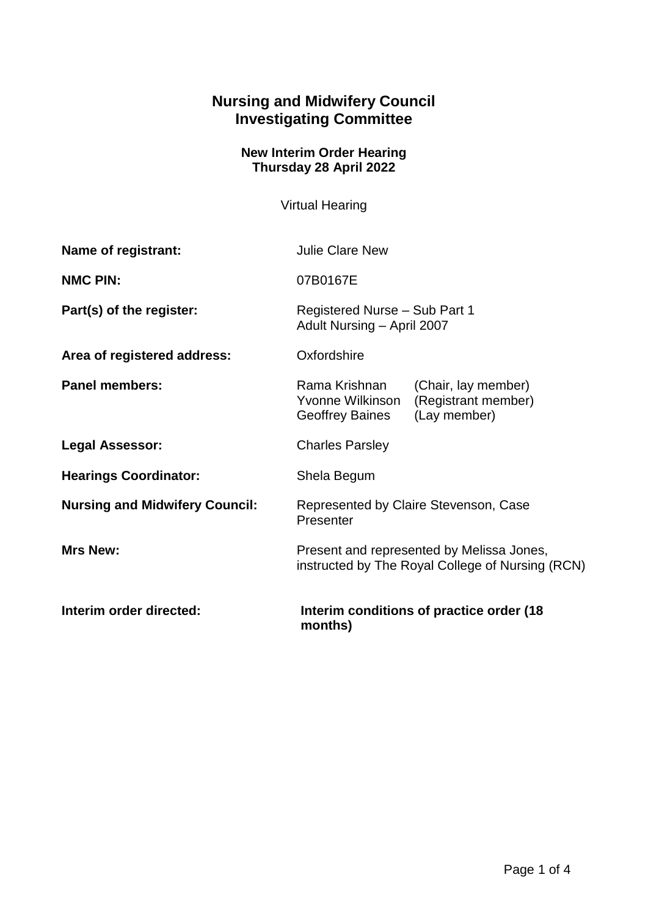## **Nursing and Midwifery Council Investigating Committee**

## **New Interim Order Hearing Thursday 28 April 2022**

Virtual Hearing

| Name of registrant:                   | <b>Julie Clare New</b>                                                                        |                                                            |
|---------------------------------------|-----------------------------------------------------------------------------------------------|------------------------------------------------------------|
| <b>NMC PIN:</b>                       | 07B0167E                                                                                      |                                                            |
| Part(s) of the register:              | Registered Nurse - Sub Part 1<br>Adult Nursing - April 2007                                   |                                                            |
| Area of registered address:           | Oxfordshire                                                                                   |                                                            |
| <b>Panel members:</b>                 | Rama Krishnan<br>Yvonne Wilkinson<br>Geoffrey Baines                                          | (Chair, lay member)<br>(Registrant member)<br>(Lay member) |
| <b>Legal Assessor:</b>                | <b>Charles Parsley</b>                                                                        |                                                            |
| <b>Hearings Coordinator:</b>          | Shela Begum                                                                                   |                                                            |
| <b>Nursing and Midwifery Council:</b> | Represented by Claire Stevenson, Case<br>Presenter                                            |                                                            |
| <b>Mrs New:</b>                       | Present and represented by Melissa Jones,<br>instructed by The Royal College of Nursing (RCN) |                                                            |
| Interim order directed:               | Interim conditions of practice order (18)<br>months)                                          |                                                            |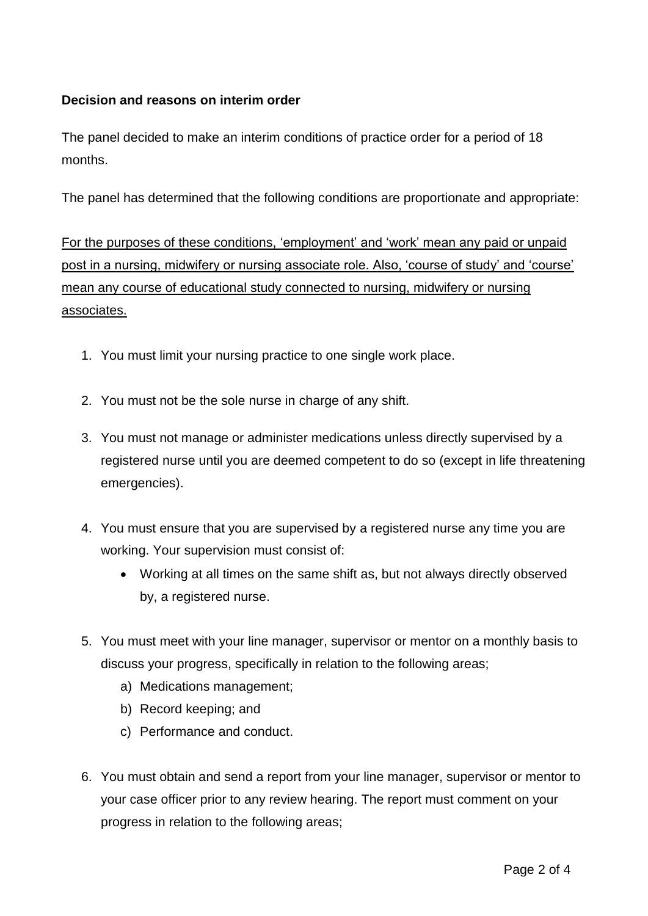## **Decision and reasons on interim order**

The panel decided to make an interim conditions of practice order for a period of 18 months.

The panel has determined that the following conditions are proportionate and appropriate:

For the purposes of these conditions, 'employment' and 'work' mean any paid or unpaid post in a nursing, midwifery or nursing associate role. Also, 'course of study' and 'course' mean any course of educational study connected to nursing, midwifery or nursing associates.

- 1. You must limit your nursing practice to one single work place.
- 2. You must not be the sole nurse in charge of any shift.
- 3. You must not manage or administer medications unless directly supervised by a registered nurse until you are deemed competent to do so (except in life threatening emergencies).
- 4. You must ensure that you are supervised by a registered nurse any time you are working. Your supervision must consist of:
	- Working at all times on the same shift as, but not always directly observed by, a registered nurse.
- 5. You must meet with your line manager, supervisor or mentor on a monthly basis to discuss your progress, specifically in relation to the following areas;
	- a) Medications management;
	- b) Record keeping; and
	- c) Performance and conduct.
- 6. You must obtain and send a report from your line manager, supervisor or mentor to your case officer prior to any review hearing. The report must comment on your progress in relation to the following areas;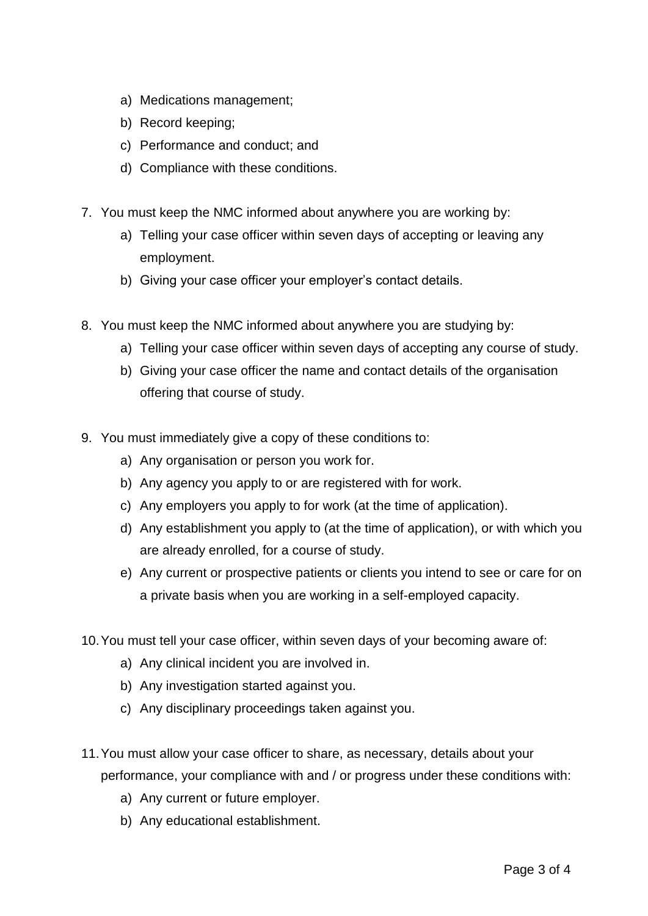- a) Medications management;
- b) Record keeping;
- c) Performance and conduct; and
- d) Compliance with these conditions.
- 7. You must keep the NMC informed about anywhere you are working by:
	- a) Telling your case officer within seven days of accepting or leaving any employment.
	- b) Giving your case officer your employer's contact details.
- 8. You must keep the NMC informed about anywhere you are studying by:
	- a) Telling your case officer within seven days of accepting any course of study.
	- b) Giving your case officer the name and contact details of the organisation offering that course of study.
- 9. You must immediately give a copy of these conditions to:
	- a) Any organisation or person you work for.
	- b) Any agency you apply to or are registered with for work.
	- c) Any employers you apply to for work (at the time of application).
	- d) Any establishment you apply to (at the time of application), or with which you are already enrolled, for a course of study.
	- e) Any current or prospective patients or clients you intend to see or care for on a private basis when you are working in a self-employed capacity.
- 10.You must tell your case officer, within seven days of your becoming aware of:
	- a) Any clinical incident you are involved in.
	- b) Any investigation started against you.
	- c) Any disciplinary proceedings taken against you.
- 11.You must allow your case officer to share, as necessary, details about your performance, your compliance with and / or progress under these conditions with:
	- a) Any current or future employer.
	- b) Any educational establishment.